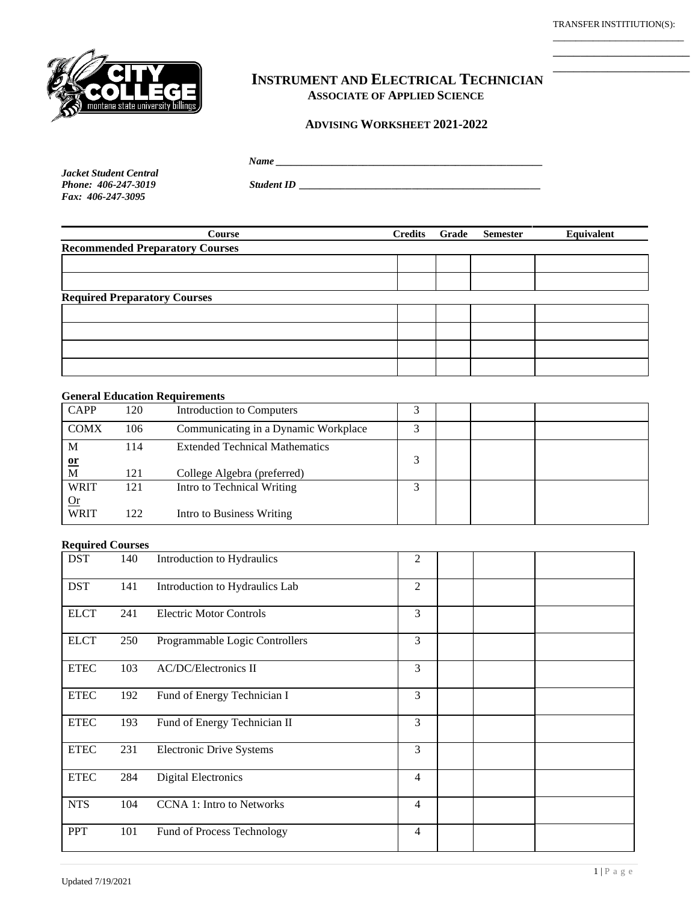TRANSFER INSTITIUTION(S): \_\_\_\_\_\_\_\_\_\_\_\_\_\_\_\_\_\_\_\_\_\_\_

\_\_\_\_\_\_\_\_\_\_\_\_\_\_\_\_\_\_\_\_ \_\_\_\_\_\_\_\_\_\_\_\_\_\_\_\_\_\_\_\_



# **INSTRUMENT AND ELECTRICAL TECHNICIAN ASSOCIATE OF APPLIED SCIENCE**

#### **ADVISING WORKSHEET 2021-2022**

 *Name \_\_\_\_\_\_\_\_\_\_\_\_\_\_\_\_\_\_\_\_\_\_\_\_\_\_\_\_\_\_\_\_\_\_\_\_\_\_\_\_\_\_\_\_\_\_\_\_\_\_\_\_*

*Jacket Student Central Fax: 406-247-3095*

*Phone: 406-247-3019 Student ID \_\_\_\_\_\_\_\_\_\_\_\_\_\_\_\_\_\_\_\_\_\_\_\_\_\_\_\_\_\_\_\_\_\_\_\_\_\_\_\_\_\_\_\_\_\_\_*

| Course                                 | <b>Credits</b> | Grade | <b>Semester</b> | Equivalent |  |  |
|----------------------------------------|----------------|-------|-----------------|------------|--|--|
| <b>Recommended Preparatory Courses</b> |                |       |                 |            |  |  |
|                                        |                |       |                 |            |  |  |
|                                        |                |       |                 |            |  |  |
| <b>Required Preparatory Courses</b>    |                |       |                 |            |  |  |
|                                        |                |       |                 |            |  |  |
|                                        |                |       |                 |            |  |  |
|                                        |                |       |                 |            |  |  |
|                                        |                |       |                 |            |  |  |

#### **General Education Requirements**

| <b>CAPP</b>        | 120 | <b>Introduction to Computers</b>      |   |  |  |
|--------------------|-----|---------------------------------------|---|--|--|
| <b>COMX</b>        | 106 | Communicating in a Dynamic Workplace  |   |  |  |
| М<br>$\mathbf{or}$ | 114 | <b>Extended Technical Mathematics</b> | 3 |  |  |
| M                  | 121 | College Algebra (preferred)           |   |  |  |
| <b>WRIT</b><br>Qr  | 121 | Intro to Technical Writing            |   |  |  |
| <b>WRIT</b>        | 122 | Intro to Business Writing             |   |  |  |

## **Required Courses**

| <b>DST</b>  | 140 | Introduction to Hydraulics       | 2              |  |  |
|-------------|-----|----------------------------------|----------------|--|--|
| <b>DST</b>  | 141 | Introduction to Hydraulics Lab   | $\overline{2}$ |  |  |
| <b>ELCT</b> | 241 | <b>Electric Motor Controls</b>   | 3              |  |  |
| <b>ELCT</b> | 250 | Programmable Logic Controllers   | 3              |  |  |
| <b>ETEC</b> | 103 | <b>AC/DC/Electronics II</b>      | 3              |  |  |
| <b>ETEC</b> | 192 | Fund of Energy Technician I      | 3              |  |  |
| <b>ETEC</b> | 193 | Fund of Energy Technician II     | 3              |  |  |
| <b>ETEC</b> | 231 | <b>Electronic Drive Systems</b>  | 3              |  |  |
| <b>ETEC</b> | 284 | <b>Digital Electronics</b>       | $\overline{4}$ |  |  |
| <b>NTS</b>  | 104 | <b>CCNA 1: Intro to Networks</b> | $\overline{4}$ |  |  |
| <b>PPT</b>  | 101 | Fund of Process Technology       | $\overline{4}$ |  |  |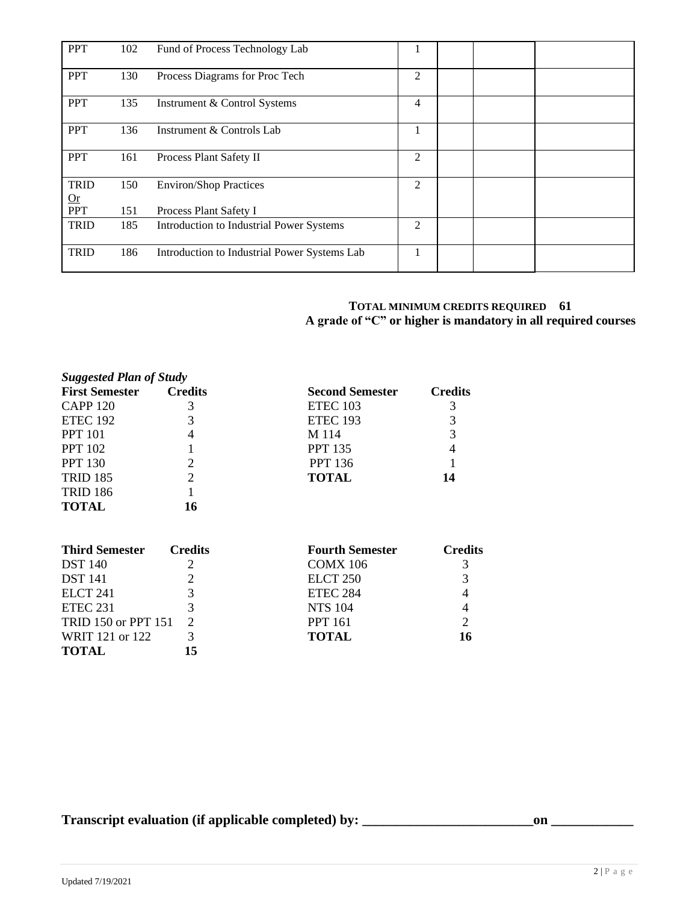| <b>PPT</b>                | 102 | Fund of Process Technology Lab               |                |  |  |
|---------------------------|-----|----------------------------------------------|----------------|--|--|
| <b>PPT</b>                | 130 | Process Diagrams for Proc Tech               | $\overline{2}$ |  |  |
| <b>PPT</b>                | 135 | Instrument & Control Systems                 | $\overline{4}$ |  |  |
| <b>PPT</b>                | 136 | Instrument & Controls Lab                    |                |  |  |
| <b>PPT</b>                | 161 | Process Plant Safety II                      | $\overline{2}$ |  |  |
| <b>TRID</b><br>$\Omega$ r | 150 | <b>Environ/Shop Practices</b>                | $\overline{2}$ |  |  |
| <b>PPT</b>                | 151 | Process Plant Safety I                       |                |  |  |
| <b>TRID</b>               | 185 | Introduction to Industrial Power Systems     | $\overline{2}$ |  |  |
| <b>TRID</b>               | 186 | Introduction to Industrial Power Systems Lab |                |  |  |

### **TOTAL MINIMUM CREDITS REQUIRED 61 A grade of "C" or higher is mandatory in all required courses**

| <b>Suggested Plan of Study</b> |                |                        |                |
|--------------------------------|----------------|------------------------|----------------|
| <b>First Semester</b>          | <b>Credits</b> | <b>Second Semester</b> | <b>Credits</b> |
| <b>CAPP 120</b>                | 3              | ETEC 103               | 3              |
| <b>ETEC 192</b>                | 3              | <b>ETEC 193</b>        | 3              |
| <b>PPT</b> 101                 | 4              | M 114                  | 3              |
| <b>PPT 102</b>                 |                | <b>PPT 135</b>         | 4              |
| <b>PPT 130</b>                 | 2              | <b>PPT 136</b>         |                |
| <b>TRID 185</b>                | 2              | <b>TOTAL</b>           | 14             |
| <b>TRID 186</b>                |                |                        |                |
| <b>TOTAL</b>                   | 16             |                        |                |
| <b>Third Semester</b>          | <b>Credits</b> | <b>Fourth Semester</b> | <b>Credits</b> |
| <b>DST</b> 140                 | 2              | <b>COMX 106</b>        | 3              |
| <b>DST</b> 141                 | 2              | ELCT <sub>250</sub>    | 3              |
| ELCT <sub>241</sub>            | 3              | ETEC 284               |                |
| <b>ETEC 231</b>                | 3              | <b>NTS 104</b>         |                |
| <b>TRID 150 or PPT 151</b>     | 2              | <b>PPT 161</b>         |                |
| WRIT 121 or 122                | 3              | <b>TOTAL</b>           | 16             |

**Transcript evaluation (if applicable completed) by: \_\_\_\_\_\_\_\_\_\_\_\_\_\_\_\_\_\_\_\_\_\_\_\_\_on \_\_\_\_\_\_\_\_\_\_\_\_**

WRIT 121 or 122 3<br>**TOTAL** 15

**TOTAL 15**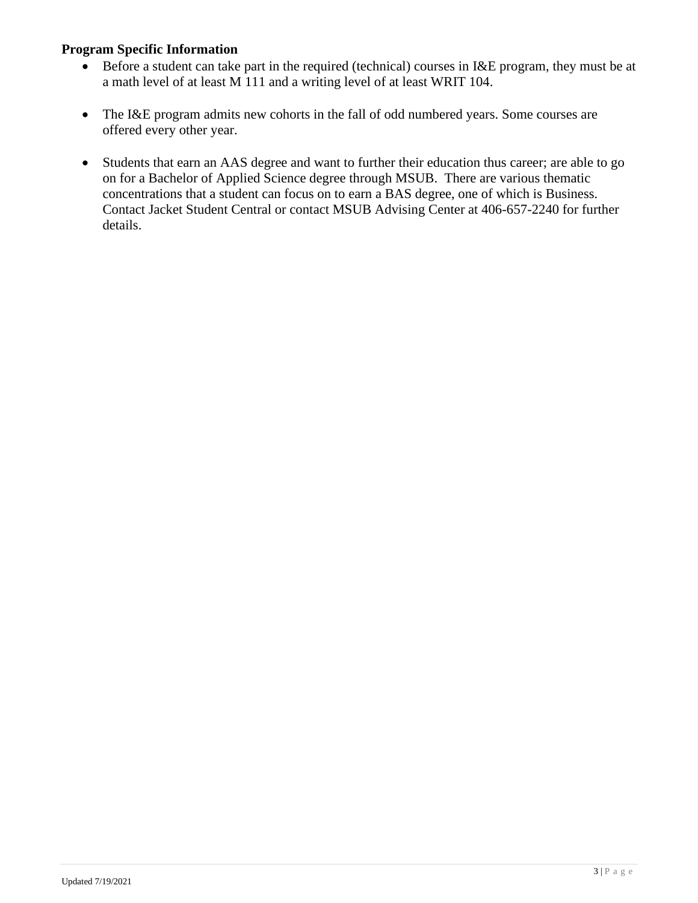## **Program Specific Information**

- Before a student can take part in the required (technical) courses in I&E program, they must be at a math level of at least M 111 and a writing level of at least WRIT 104.
- The I&E program admits new cohorts in the fall of odd numbered years. Some courses are offered every other year.
- Students that earn an AAS degree and want to further their education thus career; are able to go on for a Bachelor of Applied Science degree through MSUB. There are various thematic concentrations that a student can focus on to earn a BAS degree, one of which is Business. Contact Jacket Student Central or contact MSUB Advising Center at 406-657-2240 for further details.